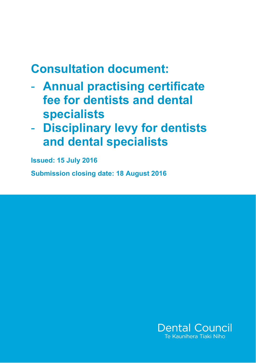# **Consultation document:**

- **Annual practising certificate fee for dentists and dental specialists**
- **Disciplinary levy for dentists and dental specialists**

**Issued: 15 July 2016**

**Submission closing date: 18 August 2016**

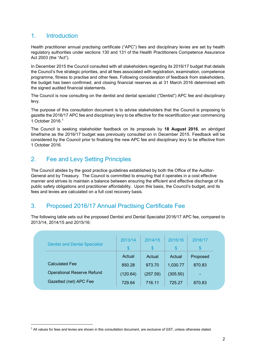## 1. Introduction

**.** 

Health practitioner annual practising certificate ("APC") fees and disciplinary levies are set by health regulatory authorities under sections 130 and 131 of the Health Practitioners Competence Assurance Act 2003 (the "Act").

In December 2015 the Council consulted with all stakeholders regarding its 2016/17 budget that details the Council's five strategic priorities, and all fees associated with registration, examination, competence programme, fitness to practise and other fees. Following consideration of feedback from stakeholders, the budget has been confirmed, and closing financial reserves as at 31 March 2016 determined with the signed audited financial statements.

The Council is now consulting on the dentist and dental specialist ("Dentist") APC fee and disciplinary levy.

The purpose of this consultation document is to advise stakeholders that the Council is proposing to gazette the 2016/17 APC fee and disciplinary levy to be effective for the recertification year commencing 1 October 2016. 1

The Council is seeking stakeholder feedback on its proposals by **18 August 2016**, an abridged timeframe as the 2016/17 budget was previously consulted on in December 2015. Feedback will be considered by the Council prior to finalising the new APC fee and disciplinary levy to be effective from 1 October 2016.

# 2. Fee and Levy Setting Principles

The Council abides by the good practice guidelines established by both the Office of the Auditor-General and by Treasury. The Council is committed to ensuring that it operates in a cost effective manner and strives to maintain a balance between ensuring the efficient and effective discharge of its public safety obligations and practitioner affordability. Upon this basis, the Council's budget, and its fees and levies are calculated on a full cost recovery basis.

# 3. Proposed 2016/17 Annual Practising Certificate Fee

The following table sets out the proposed Dentist and Dental Specialist 2016/17 APC fee, compared to 2013/14, 2014/15 and 2015/16:

| <b>Dentist and Dental Specialist</b> | 2013/14  | 2014/15      | 2015/16  | 2016/17  |
|--------------------------------------|----------|--------------|----------|----------|
|                                      | \$       | $\mathbb{S}$ | \$       | \$.      |
|                                      | Actual   | Actual       | Actual   | Proposed |
| <b>Calculated Fee</b>                | 850.28   | 973.70       | 1,030.77 | 870.83   |
| <b>Operational Reserve Refund</b>    | (120.64) | (257.59)     | (305.50) |          |
| Gazetted (net) APC Fee               | 729.64   | 716.11       | 725.27   | 870.83   |

 $<sup>1</sup>$  All values for fees and levies are shown in this consultation document, are exclusive of GST, unless otherwise stated.</sup>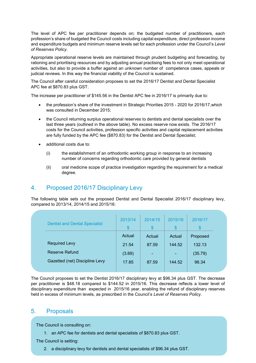The level of APC fee per practitioner depends on; the budgeted number of practitioners, each profession's share of budgeted the Council costs including capital expenditure, direct profession income and expenditure budgets and minimum reserve levels set for each profession under the Council's *Level of Reserves Policy*.

Appropriate operational reserve levels are maintained through prudent budgeting and forecasting, by rationing and prioritising resources and by adjusting annual practising fees to not only meet operational activities, but also to provide a buffer against an unknown number of competence cases, appeals or judicial reviews. In this way the financial viability of the Council is sustained.

The Council after careful consideration proposes to set the 2016/17 Dentist and Dental Specialist APC fee at \$870.83 plus GST.

The increase per practitioner of \$145.56 in the Dentist APC fee in 2016/17 is primarily due to:

- the profession's share of the investment in Strategic Priorities 2015 2020 for 2016/17,which was consulted in December 2015;
- the Council returning surplus operational reserves to dentists and dental specialists over the last three years (outlined in the above table). No excess reserve now exists. The 2016/17 costs for the Council activities, profession specific activities and capital replacement activities are fully funded by the APC fee (\$870.83) for the Dentist and Dental Specialist;
- additional costs due to:
	- (i) the establishment of an orthodontic working group in response to an increasing number of concerns regarding orthodontic care provided by general dentists
	- (ii) oral medicine scope of practice investigation regarding the requirement for a medical degree.

### 4. Proposed 2016/17 Disciplinary Levy

The following table sets out the proposed Dentist and Dental Specialist 2016/17 disciplinary levy, compared to 2013/14, 2014/15 and 2015/16:

|        | 2014/15 | 2015/16 | 2016/17<br>S |
|--------|---------|---------|--------------|
| Actual | Actual  | Actual  | Proposed     |
| 21.54  | 87.59   | 144.52  | 132.13       |
| (3.69) | ٠       | ٠       | (35.79)      |
| 17.85  | 87.59   | 144.52  | 96.34        |
|        | \$      | \$      | \$           |

The Council proposes to set the Dentist 2016/17 disciplinary levy at \$96.34 plus GST. The decrease per practitioner is \$48.18 compared to \$144.52 in 2015/16. This decrease reflects a lower level of disciplinary expenditure than expected in 2015/16 year, enabling the refund of disciplinary reserves .held in excess of minimum levels, as prescribed in the Council's *Level of Reserves Policy*.

#### 5. Proposals

The Council is consulting on:

both of which shall apply from 1 October 2016.

1. an APC fee for dentists and dental specialists of \$870.83 plus GST.

The Council is setting:

2. a disciplinary levy for dentists and dental specialists of \$96.34 plus GST.